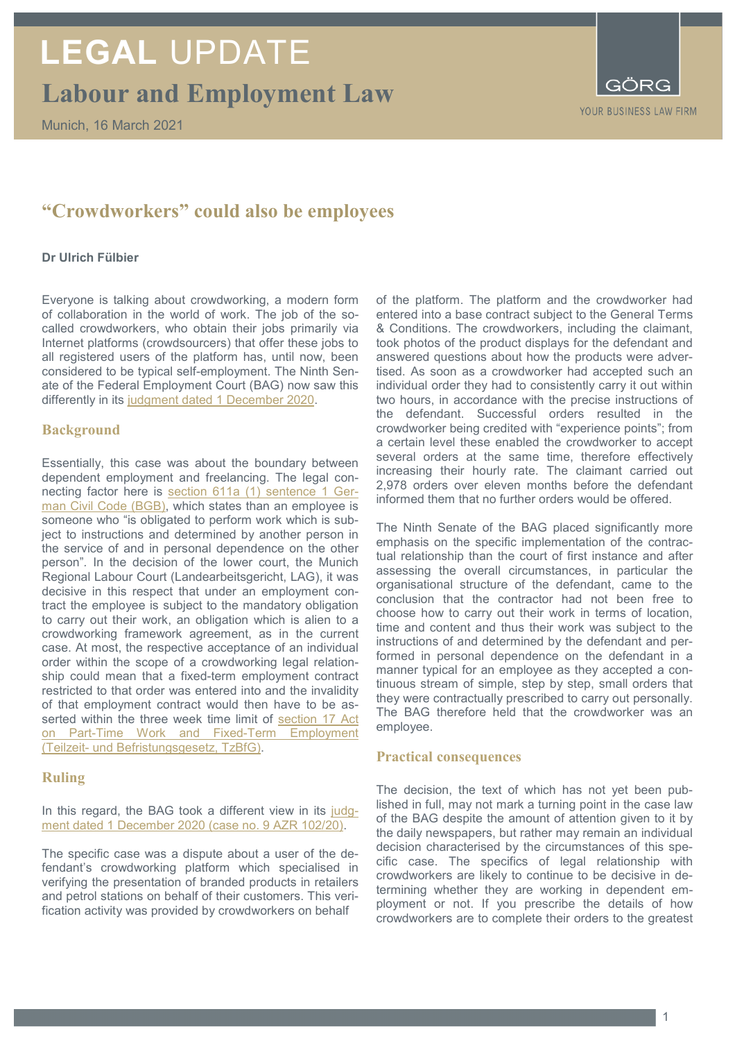# **LEGAL** UPDATE

**Labour and Employment Law**



## **"Crowdworkers" could also be employees**

### **Dr Ulrich Fülbier**

Everyone is talking about crowdworking, a modern form of collaboration in the world of work. The job of the socalled crowdworkers, who obtain their jobs primarily via Internet platforms (crowdsourcers) that offer these jobs to all registered users of the platform has, until now, been considered to be typical self-employment. The Ninth Senate of the Federal Employment Court (BAG) now saw this differently in its [judgment dated 1 December 2020.](https://juris.bundesarbeitsgericht.de/cgi-bin/rechtsprechung/document.py?Gericht=bag&Art=pm&Datum=2020&nr=24710&pos=1&anz=44)

### **Background**

Essentially, this case was about the boundary between dependent employment and freelancing. The legal connecting factor here is [section 611a \(1\) sentence 1 Ger](https://www.gesetze-im-internet.de/bgb/__611a.html)[man Civil Code \(BGB\),](https://www.gesetze-im-internet.de/bgb/__611a.html) which states than an employee is someone who "is obligated to perform work which is subject to instructions and determined by another person in the service of and in personal dependence on the other person"*.* In the decision of the lower court, the Munich Regional Labour Court (Landearbeitsgericht, LAG), it was decisive in this respect that under an employment contract the employee is subject to the mandatory obligation to carry out their work, an obligation which is alien to a crowdworking framework agreement, as in the current case. At most, the respective acceptance of an individual order within the scope of a crowdworking legal relationship could mean that a fixed-term employment contract restricted to that order was entered into and the invalidity of that employment contract would then have to be asserted within the three week time limit of [section 17 Act](http://www.gesetze-im-internet.de/tzbfg/__17.html)  [on Part-Time Work and Fixed-Term Employment](http://www.gesetze-im-internet.de/tzbfg/__17.html)  (Teilzeit- [und Befristungsgesetz, TzBfG\).](http://www.gesetze-im-internet.de/tzbfg/__17.html)

### **Ruling**

In this regard, the BAG took a different view in its [judg](https://juris.bundesarbeitsgericht.de/cgi-bin/rechtsprechung/document.py?Gericht=bag&Art=pm&Datum=2020&nr=24710&pos=1&anz=44)[ment dated 1 December 2020 \(case no. 9 AZR 102/20\).](https://juris.bundesarbeitsgericht.de/cgi-bin/rechtsprechung/document.py?Gericht=bag&Art=pm&Datum=2020&nr=24710&pos=1&anz=44)

The specific case was a dispute about a user of the defendant's crowdworking platform which specialised in verifying the presentation of branded products in retailers and petrol stations on behalf of their customers. This verification activity was provided by crowdworkers on behalf

of the platform. The platform and the crowdworker had entered into a base contract subject to the General Terms & Conditions. The crowdworkers, including the claimant, took photos of the product displays for the defendant and answered questions about how the products were advertised. As soon as a crowdworker had accepted such an individual order they had to consistently carry it out within two hours, in accordance with the precise instructions of the defendant. Successful orders resulted in the crowdworker being credited with "experience points"; from a certain level these enabled the crowdworker to accept several orders at the same time, therefore effectively increasing their hourly rate. The claimant carried out 2,978 orders over eleven months before the defendant informed them that no further orders would be offered.

The Ninth Senate of the BAG placed significantly more emphasis on the specific implementation of the contractual relationship than the court of first instance and after assessing the overall circumstances, in particular the organisational structure of the defendant, came to the conclusion that the contractor had not been free to choose how to carry out their work in terms of location, time and content and thus their work was subject to the instructions of and determined by the defendant and performed in personal dependence on the defendant in a manner typical for an employee as they accepted a continuous stream of simple, step by step, small orders that they were contractually prescribed to carry out personally. The BAG therefore held that the crowdworker was an employee.

### **Practical consequences**

The decision, the text of which has not yet been published in full, may not mark a turning point in the case law of the BAG despite the amount of attention given to it by the daily newspapers, but rather may remain an individual decision characterised by the circumstances of this specific case. The specifics of legal relationship with crowdworkers are likely to continue to be decisive in determining whether they are working in dependent employment or not. If you prescribe the details of how crowdworkers are to complete their orders to the greatest